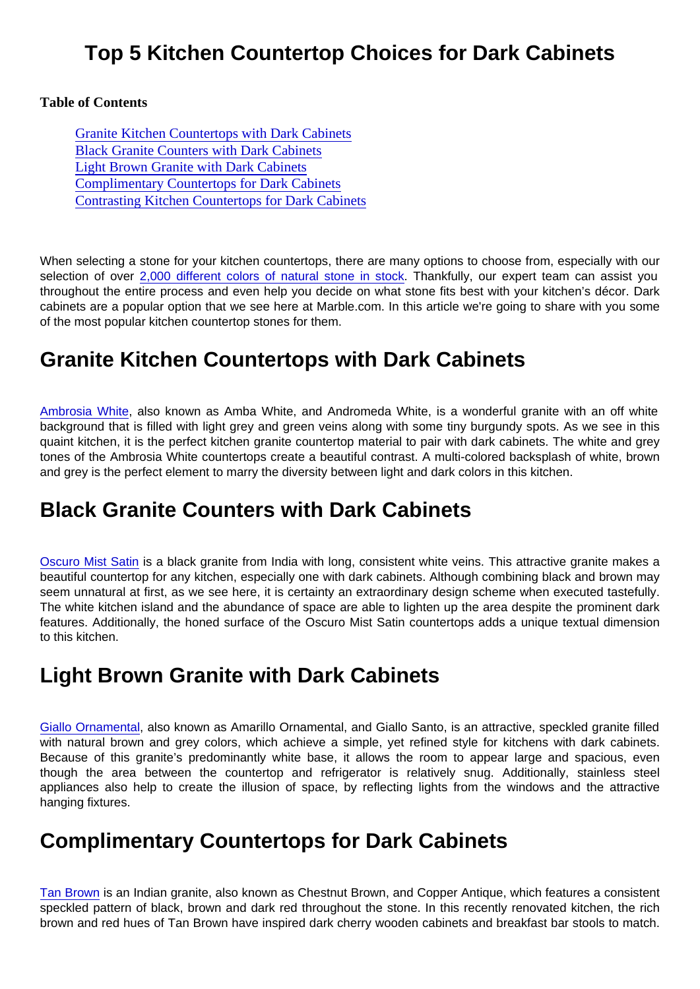### Top 5 Kitchen Countertop Choices for Dark Cabinets

Table of Contents

Granite Kitchen Countertops with Dark Cabinets Black Granite Counters with Dark Cabinets Light Brown Granite with Dark Cabinets Complimentary Countertops for Dark Cabinets [Contrasting Kitchen Countertops for Dark Cabin](#page-1-0)ets

When selecting a stone for your kitchen countertops, there are many options to choose from, especially with our selection of over [2,000 different colors of natural stone in stock.](https://marble.com/countertops) Thankfully, our expert team can assist you throughout the entire process and even help you decide on what stone fits best with your kitchen's décor. Dark cabinets are a popular option that we see here at Marble.com. In this article we're going to share with you some of the most popular kitchen countertop stones for them.

### Granite Kitchen Countertops with Dark Cabinets

[Ambrosia White,](https://marble.com/granite-countertops/ambrosia-white/713) also known as Amba White, and Andromeda White, is a wonderful granite with an off white background that is filled with light grey and green veins along with some tiny burgundy spots. As we see in this quaint kitchen, it is the perfect kitchen granite countertop material to pair with dark cabinets. The white and grey tones of the Ambrosia White countertops create a beautiful contrast. A multi-colored backsplash of white, brown and grey is the perfect element to marry the diversity between light and dark colors in this kitchen.

### Black Granite Counters with Dark Cabinets

[Oscuro Mist Satin](https://marble.com/granite-countertops/oscuro-mist/347) is a black granite from India with long, consistent white veins. This attractive granite makes a beautiful countertop for any kitchen, especially one with dark cabinets. Although combining black and brown may seem unnatural at first, as we see here, it is certainty an extraordinary design scheme when executed tastefully. The white kitchen island and the abundance of space are able to lighten up the area despite the prominent dark features. Additionally, the honed surface of the Oscuro Mist Satin countertops adds a unique textual dimension to this kitchen.

# Light Brown Granite with Dark Cabinets

[Giallo Ornamental](https://marble.com/granite-countertops/giallo-ornamental/630), also known as Amarillo Ornamental, and Giallo Santo, is an attractive, speckled granite filled with natural brown and grey colors, which achieve a simple, yet refined style for kitchens with dark cabinets. Because of this granite's predominantly white base, it allows the room to appear large and spacious, even though the area between the countertop and refrigerator is relatively snug. Additionally, stainless steel appliances also help to create the illusion of space, by reflecting lights from the windows and the attractive hanging fixtures.

# Complimentary Countertops for Dark Cabinets

[Tan Brown](https://marble.com/granite-countertops/tan-brown/126) is an Indian granite, also known as Chestnut Brown, and Copper Antique, which features a consistent speckled pattern of black, brown and dark red throughout the stone. In this recently renovated kitchen, the rich brown and red hues of Tan Brown have inspired dark cherry wooden cabinets and breakfast bar stools to match.